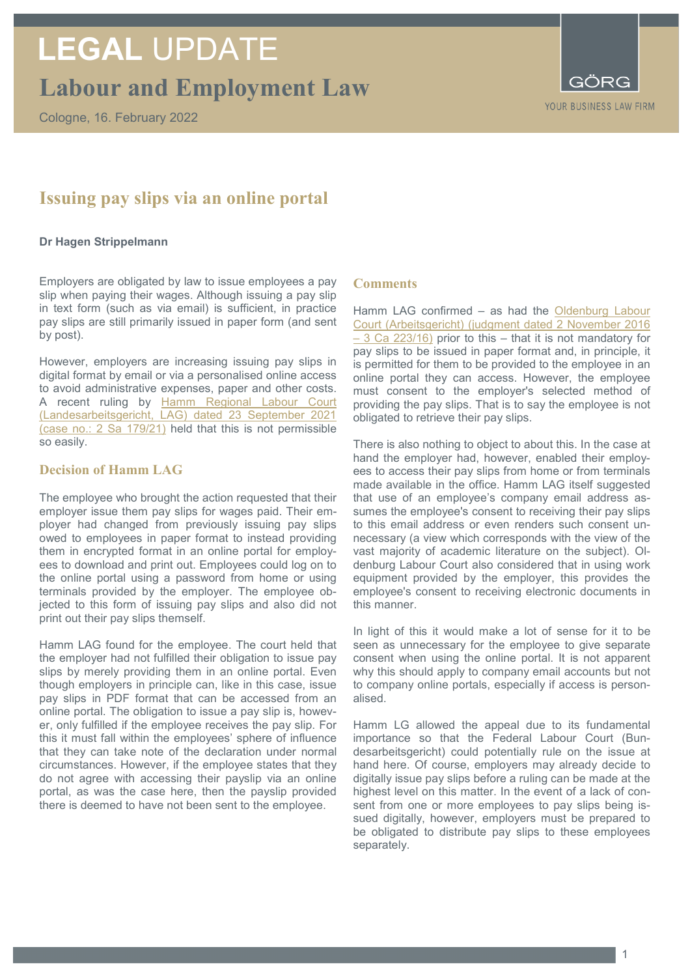# **LEGAL** UPDATE

**Labour and Employment Law**

Cologne, 16. February 2022



# **Issuing pay slips via an online portal**

### **Dr Hagen Strippelmann**

Employers are obligated by law to issue employees a pay slip when paying their wages. Although issuing a pay slip in text form (such as via email) is sufficient, in practice pay slips are still primarily issued in paper form (and sent by post).

However, employers are increasing issuing pay slips in digital format by email or via a personalised online access to avoid administrative expenses, paper and other costs. A recent ruling by Hamm Regional Labour Court [\(Landesarbeitsgericht, LAG\) dated 23 September 2021](https://openjur.de/u/2378700.html)  (case no.: [2 Sa 179/21\)](https://openjur.de/u/2378700.html) held that this is not permissible so easily.

# **Decision of Hamm LAG**

The employee who brought the action requested that their employer issue them pay slips for wages paid. Their employer had changed from previously issuing pay slips owed to employees in paper format to instead providing them in encrypted format in an online portal for employees to download and print out. Employees could log on to the online portal using a password from home or using terminals provided by the employer. The employee objected to this form of issuing pay slips and also did not print out their pay slips themself.

Hamm LAG found for the employee. The court held that the employer had not fulfilled their obligation to issue pay slips by merely providing them in an online portal. Even though employers in principle can, like in this case, issue pay slips in PDF format that can be accessed from an online portal. The obligation to issue a pay slip is, however, only fulfilled if the employee receives the pay slip. For this it must fall within the employees' sphere of influence that they can take note of the declaration under normal circumstances. However, if the employee states that they do not agree with accessing their payslip via an online portal, as was the case here, then the payslip provided there is deemed to have not been sent to the employee.

### **Comments**

Hamm LAG confirmed – as had the [Oldenburg Labour](https://www.rechtsprechung.niedersachsen.de/jportal/portal/page/bsndprod.psml?doc.id=JURE170036684&st=null&showdoccase=1)  [Court \(Arbeitsgericht\) \(judgment dated 2 November 2016](https://www.rechtsprechung.niedersachsen.de/jportal/portal/page/bsndprod.psml?doc.id=JURE170036684&st=null&showdoccase=1)  – [3 Ca 223/16\)](https://www.rechtsprechung.niedersachsen.de/jportal/portal/page/bsndprod.psml?doc.id=JURE170036684&st=null&showdoccase=1) prior to this – that it is not mandatory for pay slips to be issued in paper format and, in principle, it is permitted for them to be provided to the employee in an online portal they can access. However, the employee must consent to the employer's selected method of providing the pay slips. That is to say the employee is not obligated to retrieve their pay slips.

There is also nothing to object to about this. In the case at hand the employer had, however, enabled their employees to access their pay slips from home or from terminals made available in the office. Hamm LAG itself suggested that use of an employee's company email address assumes the employee's consent to receiving their pay slips to this email address or even renders such consent unnecessary (a view which corresponds with the view of the vast majority of academic literature on the subject). Oldenburg Labour Court also considered that in using work equipment provided by the employer, this provides the employee's consent to receiving electronic documents in this manner.

In light of this it would make a lot of sense for it to be seen as unnecessary for the employee to give separate consent when using the online portal. It is not apparent why this should apply to company email accounts but not to company online portals, especially if access is personalised.

Hamm LG allowed the appeal due to its fundamental importance so that the Federal Labour Court (Bundesarbeitsgericht) could potentially rule on the issue at hand here. Of course, employers may already decide to digitally issue pay slips before a ruling can be made at the highest level on this matter. In the event of a lack of consent from one or more employees to pay slips being issued digitally, however, employers must be prepared to be obligated to distribute pay slips to these employees separately.